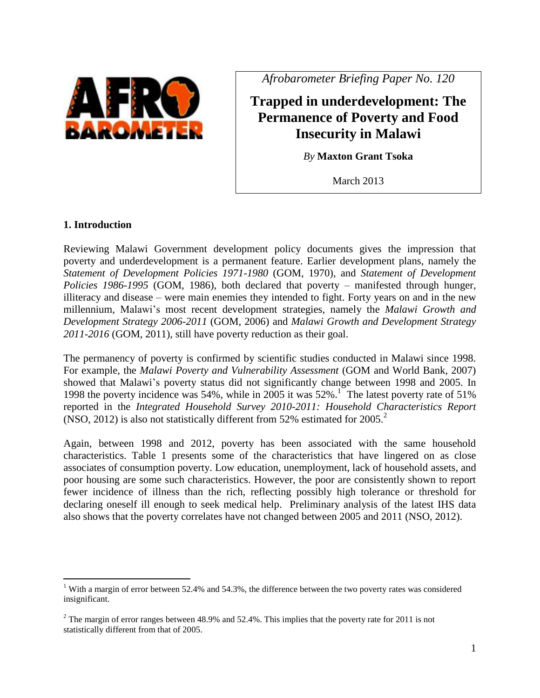

*Afrobarometer Briefing Paper No. 120*

**Trapped in underdevelopment: The Permanence of Poverty and Food Insecurity in Malawi**

*By* **Maxton Grant Tsoka**

March 2013

### **1. Introduction**

 $\overline{a}$ 

Reviewing Malawi Government development policy documents gives the impression that poverty and underdevelopment is a permanent feature. Earlier development plans, namely the *Statement of Development Policies 1971-1980* (GOM, 1970), and *Statement of Development Policies 1986-1995* (GOM, 1986), both declared that poverty – manifested through hunger, illiteracy and disease – were main enemies they intended to fight. Forty years on and in the new millennium, Malawi"s most recent development strategies, namely the *Malawi Growth and Development Strategy 2006-2011* (GOM, 2006) and *Malawi Growth and Development Strategy 2011-2016* (GOM, 2011), still have poverty reduction as their goal.

The permanency of poverty is confirmed by scientific studies conducted in Malawi since 1998. For example, the *Malawi Poverty and Vulnerability Assessment* (GOM and World Bank, 2007) showed that Malawi"s poverty status did not significantly change between 1998 and 2005. In 1998 the poverty incidence was 54%, while in 2005 it was 52%. 1 The latest poverty rate of 51% reported in the *Integrated Household Survey 2010-2011: Household Characteristics Report* (NSO, 2012) is also not statistically different from 52% estimated for 2005. 2

Again, between 1998 and 2012, poverty has been associated with the same household characteristics. Table 1 presents some of the characteristics that have lingered on as close associates of consumption poverty. Low education, unemployment, lack of household assets, and poor housing are some such characteristics. However, the poor are consistently shown to report fewer incidence of illness than the rich, reflecting possibly high tolerance or threshold for declaring oneself ill enough to seek medical help. Preliminary analysis of the latest IHS data also shows that the poverty correlates have not changed between 2005 and 2011 (NSO, 2012).

<sup>&</sup>lt;sup>1</sup> With a margin of error between 52.4% and 54.3%, the difference between the two poverty rates was considered insignificant.

 $2$  The margin of error ranges between 48.9% and 52.4%. This implies that the poverty rate for 2011 is not statistically different from that of 2005.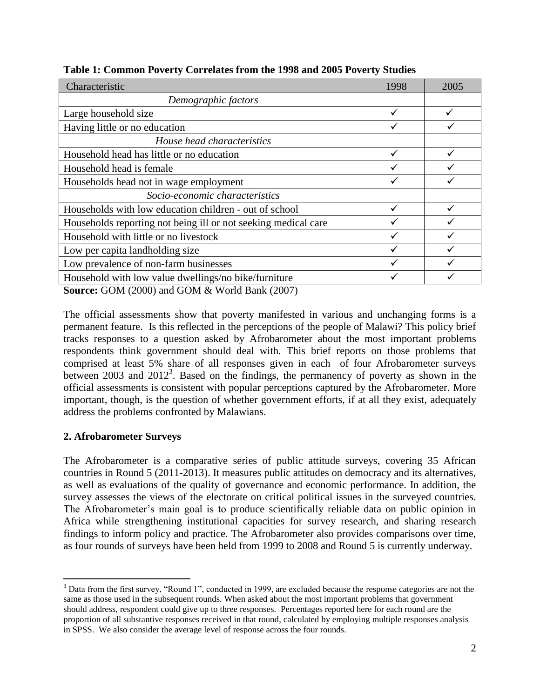| Characteristic                                                 | 1998 | 2005 |
|----------------------------------------------------------------|------|------|
| Demographic factors                                            |      |      |
| Large household size                                           |      |      |
| Having little or no education                                  |      |      |
| House head characteristics                                     |      |      |
| Household head has little or no education                      |      |      |
| Household head is female                                       |      |      |
| Households head not in wage employment                         |      |      |
| Socio-economic characteristics                                 |      |      |
| Households with low education children - out of school         |      |      |
| Households reporting not being ill or not seeking medical care |      |      |
| Household with little or no livestock                          |      |      |
| Low per capita landholding size                                |      |      |
| Low prevalence of non-farm businesses                          |      |      |
| Household with low value dwellings/no bike/furniture           |      |      |

**Table 1: Common Poverty Correlates from the 1998 and 2005 Poverty Studies**

**Source:** GOM (2000) and GOM & World Bank (2007)

The official assessments show that poverty manifested in various and unchanging forms is a permanent feature. Is this reflected in the perceptions of the people of Malawi? This policy brief tracks responses to a question asked by Afrobarometer about the most important problems respondents think government should deal with. This brief reports on those problems that comprised at least 5% share of all responses given in each of four Afrobarometer surveys between 2003 and  $2012<sup>3</sup>$ . Based on the findings, the permanency of poverty as shown in the official assessments is consistent with popular perceptions captured by the Afrobarometer. More important, though, is the question of whether government efforts, if at all they exist, adequately address the problems confronted by Malawians.

# **2. Afrobarometer Surveys**

 $\overline{a}$ 

The Afrobarometer is a comparative series of public attitude surveys, covering 35 African countries in Round 5 (2011-2013). It measures public attitudes on democracy and its alternatives, as well as evaluations of the quality of governance and economic performance. In addition, the survey assesses the views of the electorate on critical political issues in the surveyed countries. The Afrobarometer's main goal is to produce scientifically reliable data on public opinion in Africa while strengthening institutional capacities for survey research, and sharing research findings to inform policy and practice. The Afrobarometer also provides comparisons over time, as four rounds of surveys have been held from 1999 to 2008 and Round 5 is currently underway.

<sup>&</sup>lt;sup>3</sup> Data from the first survey, "Round 1", conducted in 1999, are excluded because the response categories are not the same as those used in the subsequent rounds. When asked about the most important problems that government should address, respondent could give up to three responses. Percentages reported here for each round are the proportion of all substantive responses received in that round, calculated by employing multiple responses analysis in SPSS. We also consider the average level of response across the four rounds.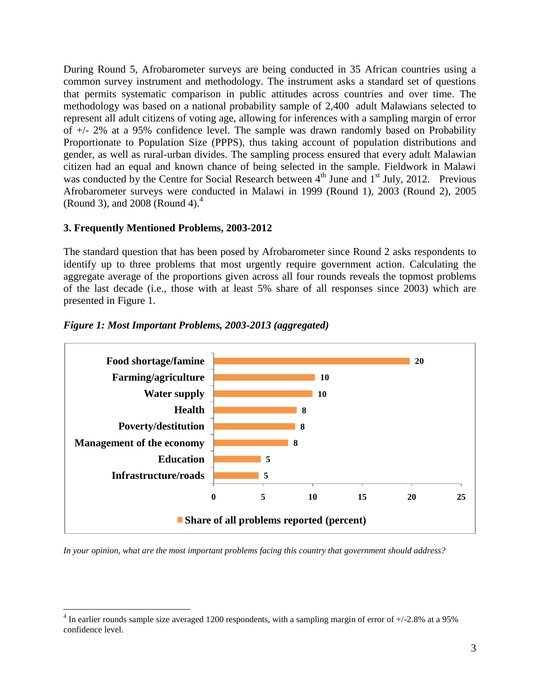During Round 5, Afrobarometer surveys are being conducted in 35 African countries using a common survey instrument and methodology. The instrument asks a standard set of questions that permits systematic comparison in public attitudes across countries and over time. The methodology was based on a national probability sample of 2,400 adult Malawians selected to represent all adult citizens of voting age, allowing for inferences with a sampling margin of error of +/- 2% at a 95% confidence level. The sample was drawn randomly based on Probability Proportionate to Population Size (PPPS), thus taking account of population distributions and gender, as well as rural-urban divides. The sampling process ensured that every adult Malawian citizen had an equal and known chance of being selected in the sample. Fieldwork in Malawi was conducted by the Centre for Social Research between  $4<sup>th</sup>$  June and  $1<sup>st</sup>$  July, 2012. Previous Afrobarometer surveys were conducted in Malawi in 1999 (Round 1), 2003 (Round 2), 2005 (Round 3), and 2008 (Round 4). $4$ 

## **3. Frequently Mentioned Problems, 2003-2012**

 $\overline{a}$ 

The standard question that has been posed by Afrobarometer since Round 2 asks respondents to identify up to three problems that most urgently require government action. Calculating the aggregate average of the proportions given across all four rounds reveals the topmost problems of the last decade (i.e., those with at least 5% share of all responses since 2003) which are presented in Figure 1.



### *Figure 1: Most Important Problems, 2003-2013 (aggregated)*

*In your opinion, what are the most important problems facing this country that government should address?*

<sup>&</sup>lt;sup>4</sup> In earlier rounds sample size averaged 1200 respondents, with a sampling margin of error of  $+/2.8\%$  at a 95% confidence level.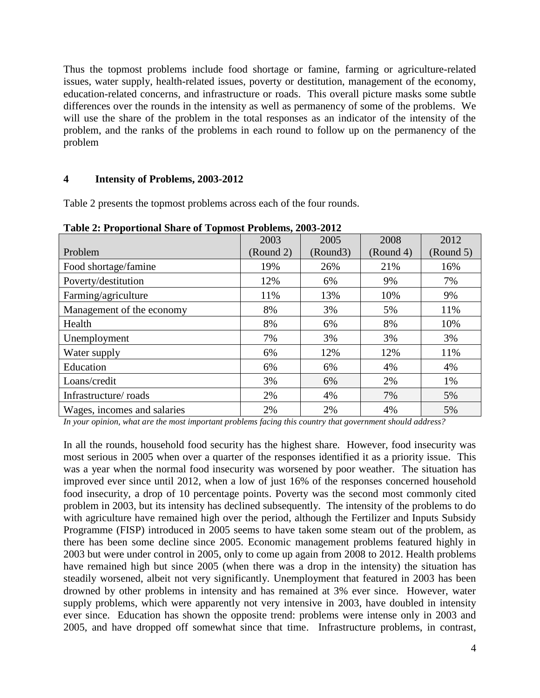Thus the topmost problems include food shortage or famine, farming or agriculture-related issues, water supply, health-related issues, poverty or destitution, management of the economy, education-related concerns, and infrastructure or roads. This overall picture masks some subtle differences over the rounds in the intensity as well as permanency of some of the problems. We will use the share of the problem in the total responses as an indicator of the intensity of the problem, and the ranks of the problems in each round to follow up on the permanency of the problem

### **4 Intensity of Problems, 2003-2012**

Table 2 presents the topmost problems across each of the four rounds.

|                             | 2003      | 2005     | 2008      | 2012      |
|-----------------------------|-----------|----------|-----------|-----------|
| Problem                     | (Round 2) | (Round3) | (Round 4) | (Round 5) |
| Food shortage/famine        | 19%       | 26%      | 21%       | 16%       |
| Poverty/destitution         | 12%       | 6%       | 9%        | 7%        |
| Farming/agriculture         | 11%       | 13%      | 10%       | 9%        |
| Management of the economy   | 8%        | 3%       | 5%        | 11%       |
| Health                      | 8%        | 6%       | 8%        | 10%       |
| Unemployment                | 7%        | 3%       | 3%        | 3%        |
| Water supply                | 6%        | 12%      | 12%       | 11%       |
| Education                   | 6%        | 6%       | 4%        | 4%        |
| Loans/credit                | 3%        | 6%       | 2%        | 1%        |
| Infrastructure/roads        | 2%        | 4%       | 7%        | 5%        |
| Wages, incomes and salaries | 2%        | 2%       | 4%        | 5%        |

**Table 2: Proportional Share of Topmost Problems, 2003-2012**

*In your opinion, what are the most important problems facing this country that government should address?*

In all the rounds, household food security has the highest share. However, food insecurity was most serious in 2005 when over a quarter of the responses identified it as a priority issue. This was a year when the normal food insecurity was worsened by poor weather. The situation has improved ever since until 2012, when a low of just 16% of the responses concerned household food insecurity, a drop of 10 percentage points. Poverty was the second most commonly cited problem in 2003, but its intensity has declined subsequently. The intensity of the problems to do with agriculture have remained high over the period, although the Fertilizer and Inputs Subsidy Programme (FISP) introduced in 2005 seems to have taken some steam out of the problem, as there has been some decline since 2005. Economic management problems featured highly in 2003 but were under control in 2005, only to come up again from 2008 to 2012. Health problems have remained high but since 2005 (when there was a drop in the intensity) the situation has steadily worsened, albeit not very significantly. Unemployment that featured in 2003 has been drowned by other problems in intensity and has remained at 3% ever since. However, water supply problems, which were apparently not very intensive in 2003, have doubled in intensity ever since. Education has shown the opposite trend: problems were intense only in 2003 and 2005, and have dropped off somewhat since that time. Infrastructure problems, in contrast,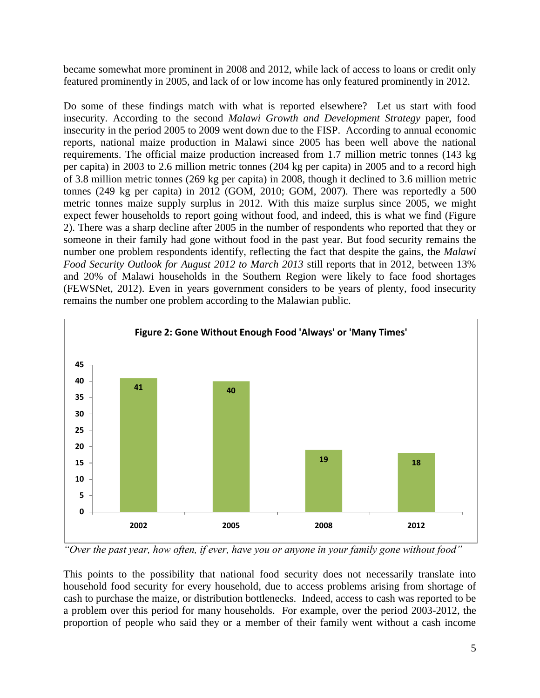became somewhat more prominent in 2008 and 2012, while lack of access to loans or credit only featured prominently in 2005, and lack of or low income has only featured prominently in 2012.

Do some of these findings match with what is reported elsewhere? Let us start with food insecurity. According to the second *Malawi Growth and Development Strategy* paper, food insecurity in the period 2005 to 2009 went down due to the FISP. According to annual economic reports, national maize production in Malawi since 2005 has been well above the national requirements. The official maize production increased from 1.7 million metric tonnes (143 kg per capita) in 2003 to 2.6 million metric tonnes (204 kg per capita) in 2005 and to a record high of 3.8 million metric tonnes (269 kg per capita) in 2008, though it declined to 3.6 million metric tonnes (249 kg per capita) in 2012 (GOM, 2010; GOM, 2007). There was reportedly a 500 metric tonnes maize supply surplus in 2012. With this maize surplus since 2005, we might expect fewer households to report going without food, and indeed, this is what we find (Figure 2). There was a sharp decline after 2005 in the number of respondents who reported that they or someone in their family had gone without food in the past year. But food security remains the number one problem respondents identify, reflecting the fact that despite the gains, the *Malawi Food Security Outlook for August 2012 to March 2013* still reports that in 2012, between 13% and 20% of Malawi households in the Southern Region were likely to face food shortages (FEWSNet, 2012). Even in years government considers to be years of plenty, food insecurity remains the number one problem according to the Malawian public.



*"Over the past year, how often, if ever, have you or anyone in your family gone without food"*

This points to the possibility that national food security does not necessarily translate into household food security for every household, due to access problems arising from shortage of cash to purchase the maize, or distribution bottlenecks. Indeed, access to cash was reported to be a problem over this period for many households. For example, over the period 2003-2012, the proportion of people who said they or a member of their family went without a cash income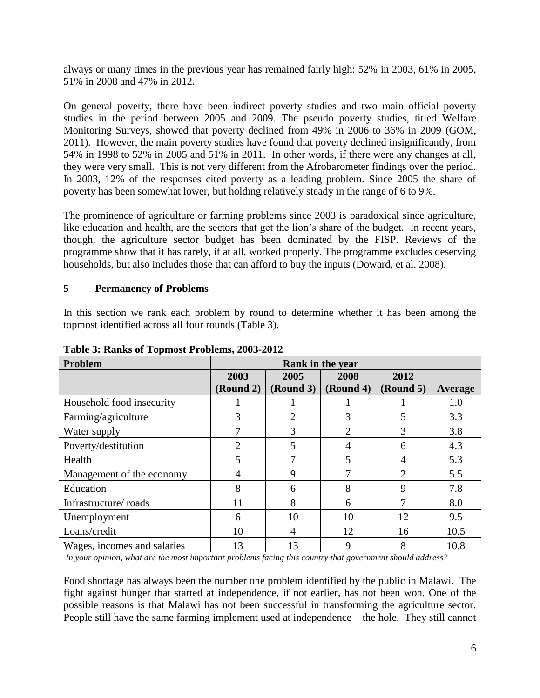always or many times in the previous year has remained fairly high: 52% in 2003, 61% in 2005, 51% in 2008 and 47% in 2012.

On general poverty, there have been indirect poverty studies and two main official poverty studies in the period between 2005 and 2009. The pseudo poverty studies, titled Welfare Monitoring Surveys, showed that poverty declined from 49% in 2006 to 36% in 2009 (GOM, 2011). However, the main poverty studies have found that poverty declined insignificantly, from 54% in 1998 to 52% in 2005 and 51% in 2011. In other words, if there were any changes at all, they were very small. This is not very different from the Afrobarometer findings over the period. In 2003, 12% of the responses cited poverty as a leading problem. Since 2005 the share of poverty has been somewhat lower, but holding relatively steady in the range of 6 to 9%.

The prominence of agriculture or farming problems since 2003 is paradoxical since agriculture, like education and health, are the sectors that get the lion's share of the budget. In recent years, though, the agriculture sector budget has been dominated by the FISP. Reviews of the programme show that it has rarely, if at all, worked properly. The programme excludes deserving households, but also includes those that can afford to buy the inputs (Doward, et al. 2008).

# **5 Permanency of Problems**

In this section we rank each problem by round to determine whether it has been among the topmost identified across all four rounds (Table 3).

| Problem                     | Rank in the year  |                   |                   |                   |         |
|-----------------------------|-------------------|-------------------|-------------------|-------------------|---------|
|                             | 2003<br>(Round 2) | 2005<br>(Round 3) | 2008<br>(Round 4) | 2012<br>(Round 5) | Average |
| Household food insecurity   |                   |                   |                   |                   | 1.0     |
| Farming/agriculture         | 3                 | 2                 | 3                 | 5                 | 3.3     |
| Water supply                | 7                 | 3                 | 2                 | 3                 | 3.8     |
| Poverty/destitution         | $\overline{2}$    | 5                 | 4                 | 6                 | 4.3     |
| Health                      | 5                 |                   | 5                 | 4                 | 5.3     |
| Management of the economy   | 4                 | 9                 |                   | $\overline{2}$    | 5.5     |
| Education                   | 8                 | 6                 | 8                 | 9                 | 7.8     |
| Infrastructure/roads        | 11                | 8                 | 6                 |                   | 8.0     |
| Unemployment                | 6                 | 10                | 10                | 12                | 9.5     |
| Loans/credit                | 10                | 4                 | 12                | 16                | 10.5    |
| Wages, incomes and salaries | 13                | 13                | 9                 | 8                 | 10.8    |

**Table 3: Ranks of Topmost Problems, 2003-2012**

*In your opinion, what are the most important problems facing this country that government should address?*

Food shortage has always been the number one problem identified by the public in Malawi. The fight against hunger that started at independence, if not earlier, has not been won. One of the possible reasons is that Malawi has not been successful in transforming the agriculture sector. People still have the same farming implement used at independence – the hole. They still cannot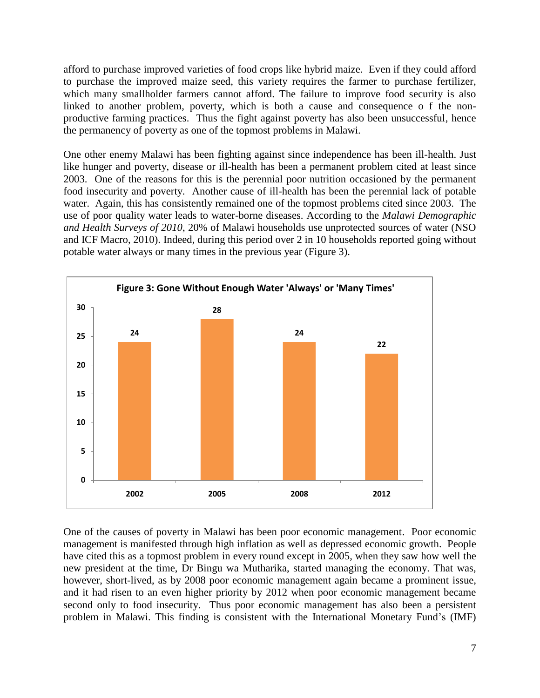afford to purchase improved varieties of food crops like hybrid maize. Even if they could afford to purchase the improved maize seed, this variety requires the farmer to purchase fertilizer, which many smallholder farmers cannot afford. The failure to improve food security is also linked to another problem, poverty, which is both a cause and consequence o f the nonproductive farming practices. Thus the fight against poverty has also been unsuccessful, hence the permanency of poverty as one of the topmost problems in Malawi.

One other enemy Malawi has been fighting against since independence has been ill-health. Just like hunger and poverty, disease or ill-health has been a permanent problem cited at least since 2003. One of the reasons for this is the perennial poor nutrition occasioned by the permanent food insecurity and poverty. Another cause of ill-health has been the perennial lack of potable water. Again, this has consistently remained one of the topmost problems cited since 2003. The use of poor quality water leads to water-borne diseases. According to the *Malawi Demographic and Health Surveys of 2010*, 20% of Malawi households use unprotected sources of water (NSO and ICF Macro, 2010). Indeed, during this period over 2 in 10 households reported going without potable water always or many times in the previous year (Figure 3).



One of the causes of poverty in Malawi has been poor economic management. Poor economic management is manifested through high inflation as well as depressed economic growth. People have cited this as a topmost problem in every round except in 2005, when they saw how well the new president at the time, Dr Bingu wa Mutharika, started managing the economy. That was, however, short-lived, as by 2008 poor economic management again became a prominent issue, and it had risen to an even higher priority by 2012 when poor economic management became second only to food insecurity. Thus poor economic management has also been a persistent problem in Malawi. This finding is consistent with the International Monetary Fund"s (IMF)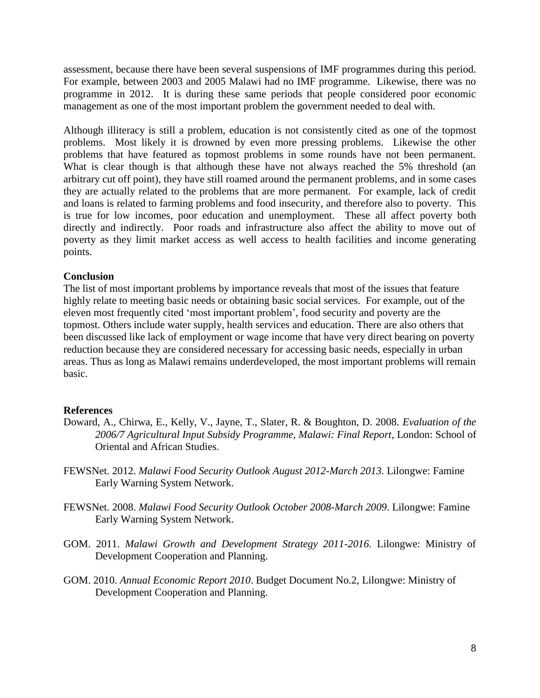assessment, because there have been several suspensions of IMF programmes during this period. For example, between 2003 and 2005 Malawi had no IMF programme. Likewise, there was no programme in 2012. It is during these same periods that people considered poor economic management as one of the most important problem the government needed to deal with.

Although illiteracy is still a problem, education is not consistently cited as one of the topmost problems. Most likely it is drowned by even more pressing problems. Likewise the other problems that have featured as topmost problems in some rounds have not been permanent. What is clear though is that although these have not always reached the 5% threshold (an arbitrary cut off point), they have still roamed around the permanent problems, and in some cases they are actually related to the problems that are more permanent. For example, lack of credit and loans is related to farming problems and food insecurity, and therefore also to poverty. This is true for low incomes, poor education and unemployment. These all affect poverty both directly and indirectly. Poor roads and infrastructure also affect the ability to move out of poverty as they limit market access as well access to health facilities and income generating points.

## **Conclusion**

The list of most important problems by importance reveals that most of the issues that feature highly relate to meeting basic needs or obtaining basic social services. For example, out of the eleven most frequently cited "most important problem", food security and poverty are the topmost. Others include water supply, health services and education. There are also others that been discussed like lack of employment or wage income that have very direct bearing on poverty reduction because they are considered necessary for accessing basic needs, especially in urban areas. Thus as long as Malawi remains underdeveloped, the most important problems will remain basic.

### **References**

- Doward, A., Chirwa, E., Kelly, V., Jayne, T., Slater, R. & Boughton, D. 2008. *Evaluation of the 2006/7 Agricultural Input Subsidy Programme, Malawi: Final Report*, London: School of Oriental and African Studies.
- FEWSNet. 2012. *Malawi Food Security Outlook August 2012-March 2013*. Lilongwe: Famine Early Warning System Network.
- FEWSNet. 2008. *Malawi Food Security Outlook October 2008-March 2009*. Lilongwe: Famine Early Warning System Network.
- GOM. 2011. *Malawi Growth and Development Strategy 2011-2016*. Lilongwe: Ministry of Development Cooperation and Planning.
- GOM. 2010. *Annual Economic Report 2010*. Budget Document No.2, Lilongwe: Ministry of Development Cooperation and Planning.